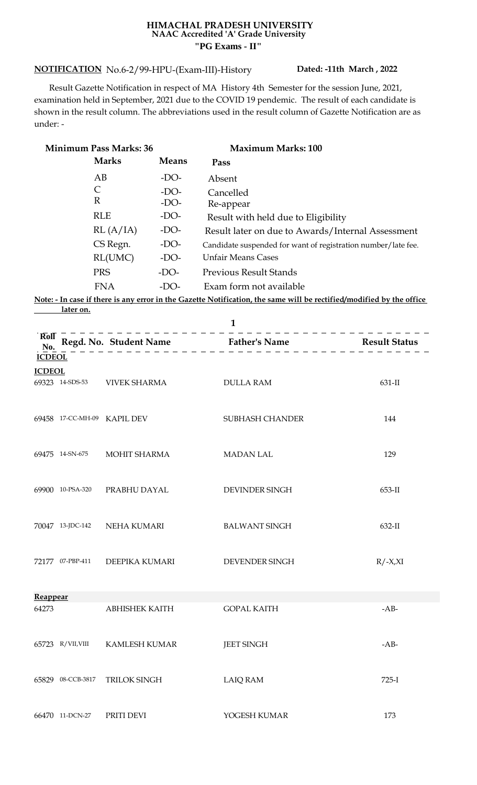## **HIMACHAL PRADESH UNIVERSITY NAAC Accredited 'A' Grade University "PG Exams - II"**

## **NOTIFICATION Dated: -11th March , 2022** No.6-2/99-HPU-(Exam-III)-History

 Result Gazette Notification in respect of MA History 4th Semester for the session June, 2021, examination held in September, 2021 due to the COVID 19 pendemic. The result of each candidate is shown in the result column. The abbreviations used in the result column of Gazette Notification are as under: -

| <b>Minimum Pass Marks: 36</b> |              | <b>Maximum Marks: 100</b>                                     |
|-------------------------------|--------------|---------------------------------------------------------------|
| <b>Marks</b>                  | <b>Means</b> | Pass                                                          |
| AB                            | $-DO-$       | Absent                                                        |
| C                             | $-DO-$       | Cancelled                                                     |
| $\mathbb{R}$                  | $-DO-$       | Re-appear                                                     |
| RLE                           | $-DO-$       | Result with held due to Eligibility                           |
| RL(A/IA)                      | $-DO-$       | Result later on due to Awards/Internal Assessment             |
| CS Regn.                      | $-DO-$       | Candidate suspended for want of registration number/late fee. |
| RL(UMC)                       | $-DO-$       | <b>Unfair Means Cases</b>                                     |
| <b>PRS</b>                    | $-DO-$       | <b>Previous Result Stands</b>                                 |
| <b>FNA</b>                    | $-1$ O-      | Exam form not available                                       |

**Note: - In case if there is any error in the Gazette Notification, the same will be rectified/modified by the office later on.**

|                   | $\mathbf{1}$      |                              |                      |              |  |
|-------------------|-------------------|------------------------------|----------------------|--------------|--|
| Roll<br>No.       |                   |                              |                      |              |  |
| <b>ICDEOL</b>     |                   |                              |                      |              |  |
| <b>ICDEOL</b>     |                   |                              |                      |              |  |
|                   |                   | 69323 14-SDS-53 VIVEK SHARMA | <b>DULLA RAM</b>     | 631-II       |  |
|                   |                   | 69458 17-CC-MH-09 KAPIL DEV  | SUBHASH CHANDER      | 144          |  |
|                   | 69475 14-SN-675   | <b>MOHIT SHARMA</b>          | MADAN LAL            | 129          |  |
|                   | 69900 10-PSA-320  | PRABHU DAYAL                 | DEVINDER SINGH       | $653 - H$    |  |
|                   |                   | 70047 13-JDC-142 NEHA KUMARI | <b>BALWANT SINGH</b> | 632-II       |  |
|                   | 72177 07-PBP-411  | DEEPIKA KUMARI               | DEVENDER SINGH       | $R / -X, XI$ |  |
|                   |                   |                              |                      |              |  |
| Reappear<br>64273 |                   | <b>ABHISHEK KAITH</b>        | <b>GOPAL KAITH</b>   | $-AB-$       |  |
|                   | 65723 R/VII, VIII | KAMLESH KUMAR                | <b>JEET SINGH</b>    | $-AB-$       |  |
|                   | 65829 08-CCB-3817 | <b>TRILOK SINGH</b>          | <b>LAIQ RAM</b>      | $725-I$      |  |
|                   | 66470 11-DCN-27   | PRITI DEVI                   | YOGESH KUMAR         | 173          |  |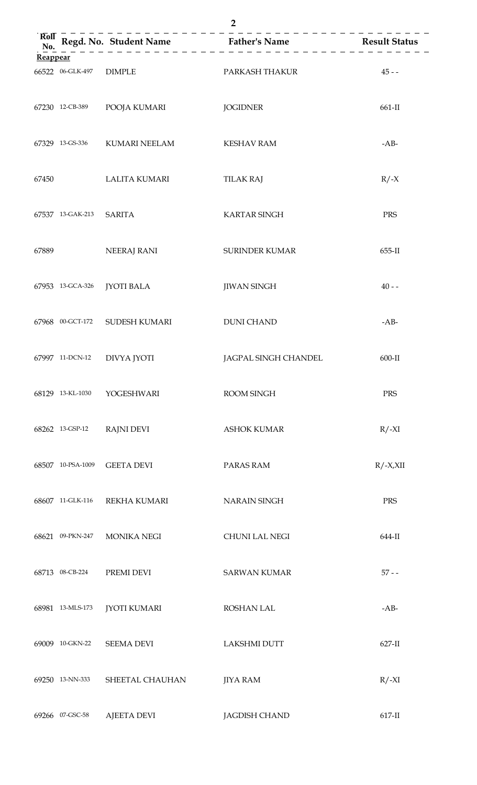|       | <b>Reappear</b>         |                                | Roll Regd. No. Student Name<br>No. $\begin{array}{c} \text{Red} \\ \text{Ne} \\ \text{Ne} \end{array}$ Result Status<br>No. $\begin{array}{c} \text{Red} \\ \text{Ne} \\ \text{Ne} \end{array}$ Result Status<br>No. $\begin{array}{c} \text{Red} \\ \text{Ne} \\ \text{Ne} \end{array}$ Result Status<br>No. $\begin{array}{c} \text{Red} \\ \text{Ne} \end{array}$ Resul |               |
|-------|-------------------------|--------------------------------|----------------------------------------------------------------------------------------------------------------------------------------------------------------------------------------------------------------------------------------------------------------------------------------------------------------------------------------------------------------------------|---------------|
|       | 66522 06-GLK-497 DIMPLE |                                | PARKASH THAKUR                                                                                                                                                                                                                                                                                                                                                             | $45 - -$      |
|       | 67230 12-CB-389         | POOJA KUMARI                   | <b>JOGIDNER</b>                                                                                                                                                                                                                                                                                                                                                            | 661-II        |
|       |                         | 67329 13-GS-336 KUMARI NEELAM  | <b>KESHAV RAM</b>                                                                                                                                                                                                                                                                                                                                                          | $-AB-$        |
| 67450 |                         | LALITA KUMARI                  | <b>TILAK RAJ</b>                                                                                                                                                                                                                                                                                                                                                           | $R/-X$        |
|       | 67537 13-GAK-213 SARITA |                                | <b>KARTAR SINGH</b>                                                                                                                                                                                                                                                                                                                                                        | PRS           |
| 67889 |                         | <b>NEERAJ RANI</b>             | <b>SURINDER KUMAR</b>                                                                                                                                                                                                                                                                                                                                                      | 655-II        |
|       | 67953 13-GCA-326        | <b>JYOTI BALA</b>              | <b>JIWAN SINGH</b>                                                                                                                                                                                                                                                                                                                                                         | $40 - -$      |
|       |                         | 67968 00-GCT-172 SUDESH KUMARI | <b>DUNI CHAND</b>                                                                                                                                                                                                                                                                                                                                                          | $-AB-$        |
|       | 67997 11-DCN-12         | DIVYA JYOTI                    | JAGPAL SINGH CHANDEL                                                                                                                                                                                                                                                                                                                                                       | $600-II$      |
|       | 68129 13-KL-1030        | <b>YOGESHWARI</b>              | ROOM SINGH                                                                                                                                                                                                                                                                                                                                                                 | PRS           |
|       | 68262 13-GSP-12         | <b>RAJNI DEVI</b>              | <b>ASHOK KUMAR</b>                                                                                                                                                                                                                                                                                                                                                         | $R/-XI$       |
|       | 68507 10-PSA-1009       | <b>GEETA DEVI</b>              | PARAS RAM                                                                                                                                                                                                                                                                                                                                                                  | $R / -X, XII$ |
|       | 68607 11-GLK-116        | REKHA KUMARI                   | <b>NARAIN SINGH</b>                                                                                                                                                                                                                                                                                                                                                        | PRS           |
|       | 68621 09-PKN-247        | <b>MONIKA NEGI</b>             | <b>CHUNI LAL NEGI</b>                                                                                                                                                                                                                                                                                                                                                      | 644-II        |
|       | 68713 08-CB-224         | PREMI DEVI                     | <b>SARWAN KUMAR</b>                                                                                                                                                                                                                                                                                                                                                        | $57 -$        |
|       | 68981 13-MLS-173        | <b>JYOTI KUMARI</b>            | <b>ROSHAN LAL</b>                                                                                                                                                                                                                                                                                                                                                          | $-AB-$        |
|       | 69009 10-GKN-22         | <b>SEEMA DEVI</b>              | <b>LAKSHMI DUTT</b>                                                                                                                                                                                                                                                                                                                                                        | 627-II        |
|       | 69250 13-NN-333         | SHEETAL CHAUHAN                | <b>JIYA RAM</b>                                                                                                                                                                                                                                                                                                                                                            | $R/-XI$       |
|       | 69266 07-GSC-58         | <b>AJEETA DEVI</b>             | <b>JAGDISH CHAND</b>                                                                                                                                                                                                                                                                                                                                                       | $617-II$      |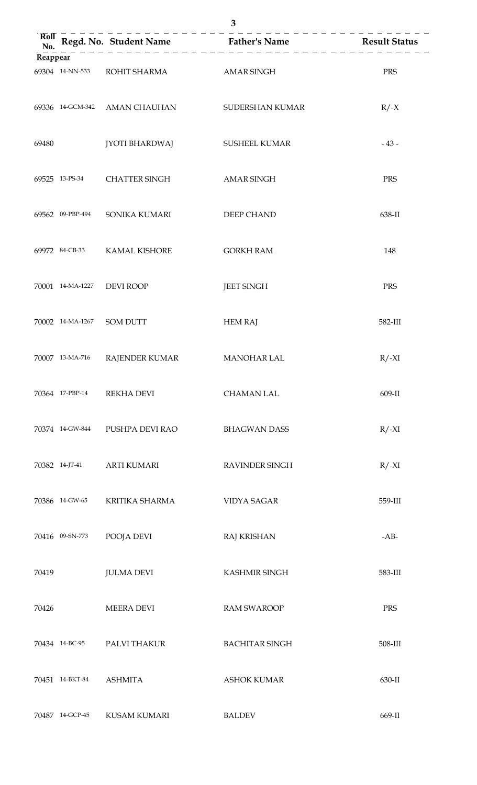| $\overline{Roll}$<br>No. |                           |                                         | Regd. No. Student Name<br>$\frac{1}{2}$ Father's Name<br>$\frac{1}{2}$ Result Status |          |
|--------------------------|---------------------------|-----------------------------------------|--------------------------------------------------------------------------------------|----------|
| Reappear                 |                           |                                         |                                                                                      |          |
|                          |                           | 69304 14-NN-533 ROHIT SHARMA AMAR SINGH |                                                                                      | PRS      |
|                          |                           | 69336 14-GCM-342 AMAN CHAUHAN           | SUDERSHAN KUMAR                                                                      | $R / -X$ |
| 69480                    |                           | JYOTI BHARDWAJ                          | <b>SUSHEEL KUMAR</b>                                                                 | $-43-$   |
|                          |                           | 69525 13-PS-34 CHATTER SINGH            | <b>AMAR SINGH</b>                                                                    | PRS      |
|                          |                           | 69562 09-PBP-494 SONIKA KUMARI          | DEEP CHAND                                                                           | 638-II   |
|                          |                           | 69972 84-CB-33 KAMAL KISHORE            | <b>GORKH RAM</b>                                                                     | 148      |
|                          |                           | 70001 14-MA-1227 DEVI ROOP              | <b>JEET SINGH</b>                                                                    | PRS      |
|                          | 70002 14-MA-1267 SOM DUTT |                                         | <b>HEM RAJ</b>                                                                       | 582-III  |
|                          | 70007 13-MA-716           | RAJENDER KUMAR MANOHAR LAL              |                                                                                      | $R/-XI$  |
|                          | 70364 17-PBP-14           | <b>REKHA DEVI</b>                       | <b>CHAMAN LAL</b>                                                                    | 609-II   |
|                          | 70374 14-GW-844           | PUSHPA DEVI RAO                         | <b>BHAGWAN DASS</b>                                                                  | $R/-XI$  |
|                          | 70382 14-JT-41            | <b>ARTI KUMARI</b>                      | <b>RAVINDER SINGH</b>                                                                | $R/-XI$  |
|                          | 70386 14-GW-65            | KRITIKA SHARMA                          | <b>VIDYA SAGAR</b>                                                                   | 559-III  |
|                          | 70416 09-SN-773           | POOJA DEVI                              | <b>RAJ KRISHAN</b>                                                                   | $-AB-$   |
| 70419                    |                           | <b>JULMA DEVI</b>                       | <b>KASHMIR SINGH</b>                                                                 | 583-III  |
| 70426                    |                           | <b>MEERA DEVI</b>                       | <b>RAM SWAROOP</b>                                                                   | PRS      |
|                          | 70434 14-BC-95            | PALVI THAKUR                            | <b>BACHITAR SINGH</b>                                                                | 508-III  |
|                          | 70451 14-BKT-84           | <b>ASHMITA</b>                          | <b>ASHOK KUMAR</b>                                                                   | 630-II   |
|                          | 70487 14-GCP-45           | <b>KUSAM KUMARI</b>                     | <b>BALDEV</b>                                                                        | 669-II   |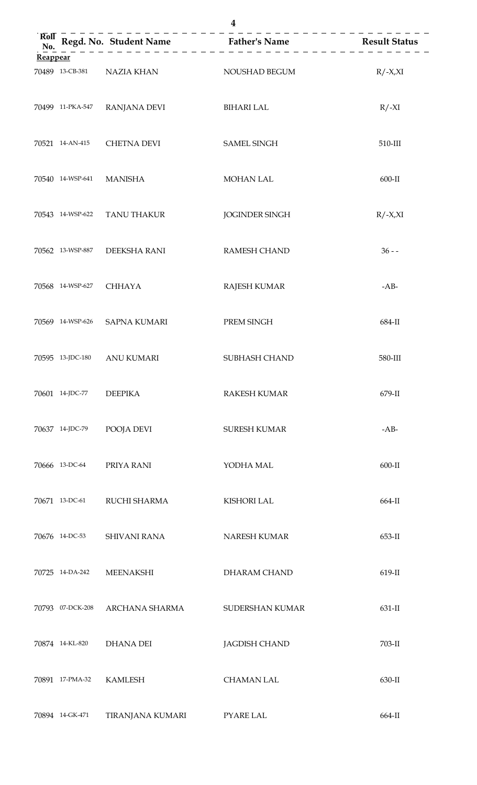| $\boldsymbol{4}$ |                          |                                  |                                                                       |              |
|------------------|--------------------------|----------------------------------|-----------------------------------------------------------------------|--------------|
| Rol<br>No.       |                          |                                  | $- - - - - - -$<br>Regd. No. Student Name Father's Name Result Status |              |
| Reappear         |                          |                                  |                                                                       |              |
|                  |                          | 70489 13-CB-381 NAZIA KHAN       | NOUSHAD BEGUM                                                         | $R / -X, XI$ |
|                  | 70499 11-PKA-547         | <b>RANJANA DEVI</b>              | <b>BIHARI LAL</b>                                                     | $R/-XI$      |
|                  |                          | 70521 14-AN-415 CHETNA DEVI      | <b>SAMEL SINGH</b>                                                    | $510 - III$  |
|                  | 70540 14-WSP-641 MANISHA |                                  | MOHAN LAL                                                             | 600-II       |
|                  |                          | 70543 14-WSP-622 TANU THAKUR     | <b>JOGINDER SINGH</b>                                                 | $R / -X X I$ |
|                  | 70562 13-WSP-887         | DEEKSHA RANI                     | <b>RAMESH CHAND</b>                                                   | $36 - -$     |
|                  | 70568 14-WSP-627         | <b>CHHAYA</b>                    | <b>RAJESH KUMAR</b>                                                   | $-AB-$       |
|                  |                          | 70569 14-WSP-626 SAPNA KUMARI    | PREM SINGH                                                            | 684-II       |
|                  |                          | 70595 13-JDC-180 ANU KUMARI      | SUBHASH CHAND                                                         | 580-III      |
|                  | 70601 14-JDC-77          | <b>DEEPIKA</b>                   | <b>RAKESH KUMAR</b>                                                   | 679-II       |
|                  | 70637 14-JDC-79          | POOJA DEVI                       | <b>SURESH KUMAR</b>                                                   | $-AB-$       |
|                  |                          | 70666 13-DC-64 PRIYA RANI        | YODHA MAL                                                             | 600-II       |
|                  |                          | 70671 13-DC-61 RUCHI SHARMA      | <b>KISHORI LAL</b>                                                    | 664-II       |
|                  |                          | 70676 14-DC-53 SHIVANI RANA      | NARESH KUMAR                                                          | 653-II       |
|                  |                          | 70725 14-DA-242 MEENAKSHI        | DHARAM CHAND                                                          | 619-II       |
|                  | 70793 07-DCK-208         | ARCHANA SHARMA                   | SUDERSHAN KUMAR                                                       | 631-II       |
|                  |                          | 70874 14-KL-820 DHANA DEI        | <b>JAGDISH CHAND</b>                                                  | 703-II       |
|                  | 70891 17-PMA-32 KAMLESH  |                                  | <b>CHAMAN LAL</b>                                                     | 630-II       |
|                  |                          | 70894 14-GK-471 TIRANJANA KUMARI | PYARE LAL                                                             | 664-II       |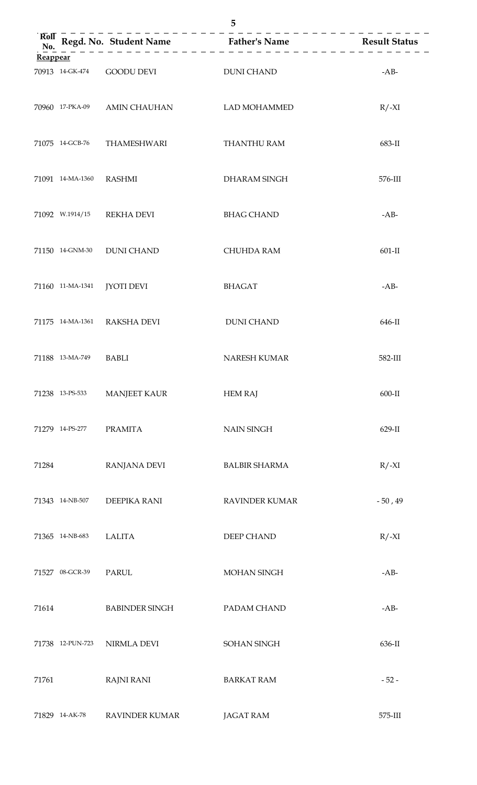| $Rol\bar{l}$<br>No. |                             |                                                 | Regd. No. Student Name<br>$\frac{1}{2}$ Father's Name<br>$\frac{1}{2}$ Result Status |           |
|---------------------|-----------------------------|-------------------------------------------------|--------------------------------------------------------------------------------------|-----------|
| Reappear            |                             |                                                 |                                                                                      |           |
|                     |                             | 70913 14-GK-474 GOODU DEVI<br><b>DUNI CHAND</b> |                                                                                      | $-AB-$    |
|                     |                             | 70960 17-PKA-09 AMIN CHAUHAN                    | LAD MOHAMMED                                                                         | $R/-XI$   |
|                     |                             | 71075 14-GCB-76 THAMESHWARI                     | THANTHU RAM                                                                          | 683-II    |
|                     | 71091 14-MA-1360            | RASHMI                                          | DHARAM SINGH                                                                         | 576-III   |
|                     |                             | 71092 W.1914/15 REKHA DEVI                      | <b>BHAG CHAND</b>                                                                    | $-AB-$    |
|                     |                             | 71150 14-GNM-30 DUNI CHAND                      | <b>CHUHDA RAM</b>                                                                    | $601-II$  |
|                     | 71160 11-MA-1341 JYOTI DEVI |                                                 | <b>BHAGAT</b>                                                                        | $-AB-$    |
|                     |                             | 71175 14-MA-1361 RAKSHA DEVI                    | <b>DUNI CHAND</b>                                                                    | 646-II    |
|                     | 71188 13-MA-749             | <b>BABLI</b>                                    | <b>NARESH KUMAR</b>                                                                  | 582-III   |
|                     | 71238 13-PS-533             | <b>MANJEET KAUR</b>                             | <b>HEM RAJ</b>                                                                       | $600-II$  |
|                     | 71279 14-PS-277             | <b>PRAMITA</b>                                  | <b>NAIN SINGH</b>                                                                    | 629-II    |
| 71284               |                             | <b>RANJANA DEVI</b>                             | <b>BALBIR SHARMA</b>                                                                 | $R/-XI$   |
|                     | 71343 14-NB-507             | DEEPIKA RANI                                    | <b>RAVINDER KUMAR</b>                                                                | $-50, 49$ |
|                     | 71365 14-NB-683             | <b>LALITA</b>                                   | DEEP CHAND                                                                           | $R/-XI$   |
|                     | 71527 08-GCR-39             | PARUL                                           | MOHAN SINGH                                                                          | $-AB-$    |
| 71614               |                             | <b>BABINDER SINGH</b>                           | PADAM CHAND                                                                          | $-AB-$    |
|                     | 71738 12-PUN-723            | <b>NIRMLA DEVI</b>                              | SOHAN SINGH                                                                          | 636-II    |
| 71761               |                             | <b>RAJNI RANI</b>                               | <b>BARKAT RAM</b>                                                                    | $-52-$    |
|                     | 71829 14-AK-78              | RAVINDER KUMAR                                  | <b>JAGAT RAM</b>                                                                     | 575-III   |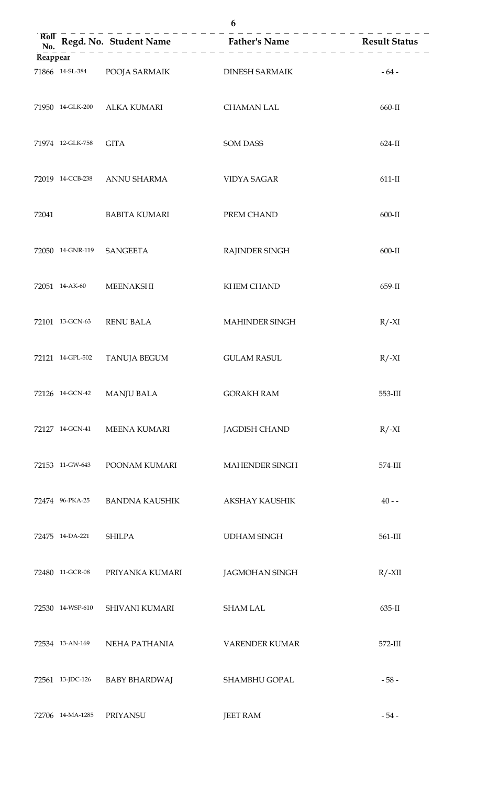| Reappear |                  |                              | Roll Regd. No. Student Name<br>No. $\begin{array}{c} \text{Rof } n = 1, 2, \ldots, n-1 - 1, 3, \ldots \end{array}$ Result Status<br>No. $\begin{array}{c} \text{Result} \text{Status} \\ \text{New algorithm} \end{array}$ |          |
|----------|------------------|------------------------------|----------------------------------------------------------------------------------------------------------------------------------------------------------------------------------------------------------------------------|----------|
|          |                  |                              | 71866 14-SL-384 POOJA SARMAIK DINESH SARMAIK                                                                                                                                                                               | $-64-$   |
|          |                  | 71950 14-GLK-200 ALKA KUMARI | CHAMAN LAL                                                                                                                                                                                                                 | 660-II   |
|          | 71974 12-GLK-758 | <b>GITA</b>                  | <b>SOM DASS</b>                                                                                                                                                                                                            | 624-II   |
|          |                  | 72019 14-CCB-238 ANNU SHARMA | <b>VIDYA SAGAR</b>                                                                                                                                                                                                         | $611-II$ |
| 72041    |                  | <b>BABITA KUMARI</b>         | PREM CHAND                                                                                                                                                                                                                 | 600-II   |
|          |                  | 72050 14-GNR-119 SANGEETA    | RAJINDER SINGH                                                                                                                                                                                                             | $600-II$ |
|          |                  | 72051 14-AK-60 MEENAKSHI     | <b>KHEM CHAND</b>                                                                                                                                                                                                          | 659-II   |
|          |                  | 72101 13-GCN-63 RENU BALA    | <b>MAHINDER SINGH</b>                                                                                                                                                                                                      | $R/-XI$  |
|          | 72121 14-GPL-502 | <b>TANUJA BEGUM</b>          | <b>GULAM RASUL</b>                                                                                                                                                                                                         | $R/-XI$  |
|          | 72126 14-GCN-42  | <b>MANJU BALA</b>            | <b>GORAKH RAM</b>                                                                                                                                                                                                          | 553-III  |
|          | 72127 14-GCN-41  | <b>MEENA KUMARI</b>          | <b>JAGDISH CHAND</b>                                                                                                                                                                                                       | $R/-XI$  |
|          | 72153 11-GW-643  | POONAM KUMARI                | MAHENDER SINGH                                                                                                                                                                                                             | 574-III  |
|          | 72474 96-PKA-25  | <b>BANDNA KAUSHIK</b>        | <b>AKSHAY KAUSHIK</b>                                                                                                                                                                                                      | $40 - -$ |
|          | 72475 14-DA-221  | <b>SHILPA</b>                | <b>UDHAM SINGH</b>                                                                                                                                                                                                         | 561-III  |
|          | 72480 11-GCR-08  | PRIYANKA KUMARI              | <b>JAGMOHAN SINGH</b>                                                                                                                                                                                                      | $R/-XII$ |
|          | 72530 14-WSP-610 | SHIVANI KUMARI               | <b>SHAM LAL</b>                                                                                                                                                                                                            | 635-II   |
|          | 72534 13-AN-169  | NEHA PATHANIA                | <b>VARENDER KUMAR</b>                                                                                                                                                                                                      | 572-III  |
|          | 72561 13-JDC-126 | <b>BABY BHARDWAJ</b>         | SHAMBHU GOPAL                                                                                                                                                                                                              | $-58-$   |
| 72706    | 14-MA-1285       | PRIYANSU                     | <b>JEET RAM</b>                                                                                                                                                                                                            | - 54 -   |